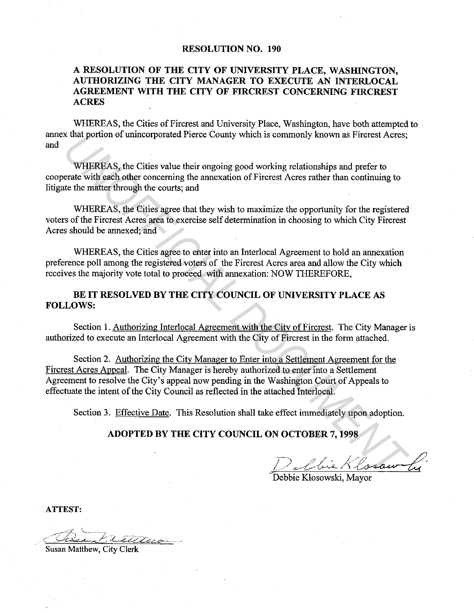## **RESOLUTION NO. 190**

## **A RESOLUTION OF THE CITY OF UNIVERSITY PLACE, WASHINGTON, AUTHORIZING THE CITY MANAGER TO EXECUTE AN INTERLOCAL AGREEMENT WITH THE CITY OF FIRCREST CONCERNING FIRCREST ACRES**

WHEREAS, the Cities of Fircrest and University Place, Washington, have both attempted to annex that portion of unincorporated Pierce County which is commonly known as Fircrest Acres; and

WHEREAS, the Cities value their ongoing good working relationships and prefer to cooperate with each other concerning the annexation of Fircrest Acres rather than continuing to litigate the matter through the courts; and

WHEREAS, the Cities agree that they wish to maximize the opportunity for the registered voters of the Fircrest Acres area to exercise self determination in choosing to which City Fircrest Acres should be annexed; and

WHEREAS, the Cities agree to enter into an Interlocal Agreement to hold an annexation preference poll among the registered voters of the Fircrest Acres area and allow the City which receives the majority vote total to proceed with annexation: NOW THEREFORE,

**BE IT RESOLVED BY THE CITY COUNCIL OF UNIVERSITY PLACE AS FOLLOWS:** 

Section 1. Authorizing Interlocal Agreement with the City of Fircrest. The City Manager is authorized to execute an Interlocal Agreement with the City of Fircrest in the form attached.

Section 2. Authorizing the City Manager to Enter into a Settlement Agreement for the Fircrest Acres Appeal. The City Manager is hereby authorized to enter into a Settlement Agreement to resolve the City's appeal now pending in the Washington Court of Appeals to effectuate the intent of the City Council as reflected in the attached Interlocal. X that portion of unincorporated Pierce County which is commonly known as Fircrest Acress.<br>
WHEREAS, the Cities value their ongoing good working relationships and prefer to<br>
errate with each other concerning the annexation

Section 3. Effective Date. This Resolution shall take effect immediately upon adoption.

## **ADOPTED BY THE CITY COUNCIL ON OCTOBER 7, 1998**

**ATTEST:** 

Susan Matthew, City Clerk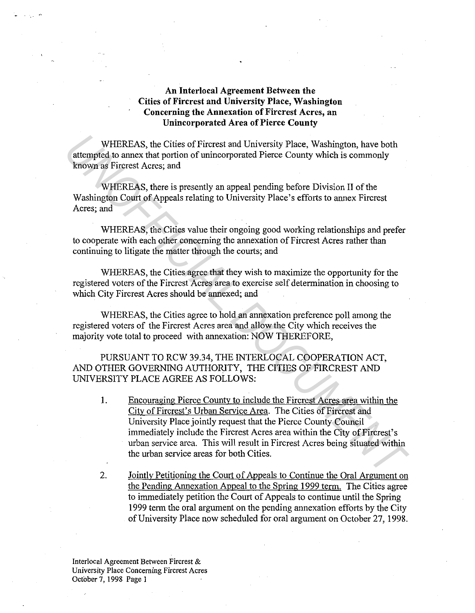## **An Interlocal Agreement Between the Cities of Fircrest and University Place, Washington Concerning the Annexation of Fircrest Acres, an Unincorporated Area of Pierce County**

WHEREAS, the Cities of Fircrest and University Place, Washington, have both attempted to annex that portion of unincorporated Pierce County which is commonly known as Fircrest Acres; and

WHEREAS, there is presently an appeal pending before Division II of the Washington Court of Appeals relating to University Place's efforts to annex Fircrest Acres; and

WHEREAS, the Cities value their ongoing good working relationships and prefer to cooperate with each other concerning the annexation of Fircrest Acres rather than continuing to litigate the matter through the courts; and

WHEREAS, the Cities agree that they wish to maximize the opportunity for the registered voters of the Fircrest Acres area to exercise self determination in choosing to which City Fircrest Acres should be annexed; and

WHEREAS, the Cities agree to hold an annexation preference poll among the registered voters of the Fircrest Acres area and allow the City which receives the majority vote total to proceed with annexation: NOW THEREFORE,

PURSUANT TO RCW 39.34, THE INTERLOCAL COOPERATION ACT, AND OTHER GOVERNING AUTHORITY, THE CITIES OF FIRCREST AND UNIVERSITY PLACE AGREE AS FOLLOWS:

- !. Encouraging Pierce County to include the Fircrest Acres area within the City of Fircrest's Urban Service Area. The Cities of Fircrest and University Place jointly request that the Pierce County Council immediately include the Fircrest Acres area within the City of Fircrest's urban service area. This will result in Fircrest Acres being situated within the urban service areas for both Cities. WHEREAS, the Cities of Fircrest and University Place, Washington, have both attempted to annex that portion of unincorporated Pierce County which is commonly known as Fircrest Acres, and WHEREAS, there is presently an appe
	- 2. Jointly Petitioning the Court of Appeals to Continue the Oral Argument on the Pending Annexation Appeal to the Spring 1999 term. The Cities agree to immediately petition the Court of Appeals to continue until the Spring 1999 term the oral argument on the pending annexation efforts by the City of University Place now scheduled for oral argument on October 27, 1998.

Interlocal Agreement Between Fircrest & University Place Concerning Fircrest Acres Ocfober 7, 1998 Page I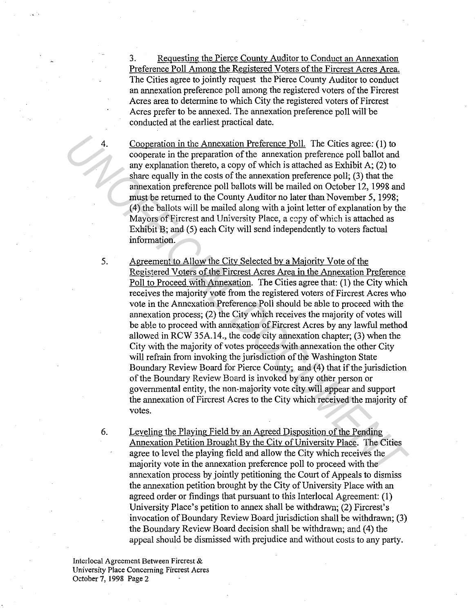3. Requesting the Pierce County Auditor to Conduct an Annexation Preference Poll Among the Registered Voters of the Fircrest Acres Area. The Cities agree to jointly request the Pierce County Auditor to conduct an annexation preference poll among the registered voters of the Fircrest Acres area to determine to which City the registered voters of Fircrest Acres prefer to be annexed. The annexation preference poll will be conducted at the earliest practical date.

4. Cooperation in the Annexation Preference Poll. The Cities agree: (1) to cooperate in the preparation of the annexation preference poll ballot and any explanation thereto, a copy of which is attached as Exhibit A; (2) to share equally in the costs of the annexation preference poll; (3) that the annexation preference poll ballots will be mailed on October 12, 1998 and must be returned to the County Auditor no later than November 5, 1998; (4) the ballots will be mailed along with a joint letter of explanation by the Mayors of Fircrest and University Place, a copy of which is attached as Exhibit B; and (5) each City will send independently to voters factual information.

5. Agreement to Allow the City Selected by a Majority Vote of the Registered Voters of the Fircrest Acres Area in the Annexation Preference Poll to Proceed with Annexation. The Cities agree that: (1) the City which receives the majority vote from the registered voters of Fircrest Acres who vote in the Annexation Preference Poll should be able to proceed with the annexation process; (2) the City which receives the majority of votes will be able to proceed with annexation of Fircrest Acres by any lawful method allowed in RCW 35A.14., the code city annexation chapter; (3) when the City with the majority of votes proceeds with annexation the other City will refrain from invoking the jurisdiction of the Washington State Boundary Review Board for Pierce County; and (4) that if the jurisdiction of the Boundary Review Board is invoked by any other person or governmental entity, the non-majority vote city will appear and support the annexation of Fircrest Acres to the City which received the majority of votes. 4. Cooperation in the Annexation Preference Poll. The Cities agree: (1) to cooperate in the preparation of the annexation preference poll; (3) that the maximum of the annexation preference poll; (3) that the maximum of the

6. Leveling the Playing Field by an Agreed Disposition of the Pending Annexation Petition Brought By the City of University Place. The Cities agree to level the playing field and allow the City which receives the majority vote in the annexation preference poll to proceed with the annexation process by jointly petitioning the Court of Appeals to dismiss the annexation petition brought by the City of University Place with an agreed order or findings that pursuant to this Interlocal Agreement: (1) University Place's petition to annex shall be withdrawn; (2) Fircrest's invocation of Boundary Review Board jurisdiction shall be withdrawn; (3) the Boundary Review Board decision shall be withdrawn; and (4) the appeal should be dismissed with prejudice and without costs to any party.

Jnterlocal Agreement Between Fircrest & University Place Concerning Fircrest Acres October 7, 1998 Page 2